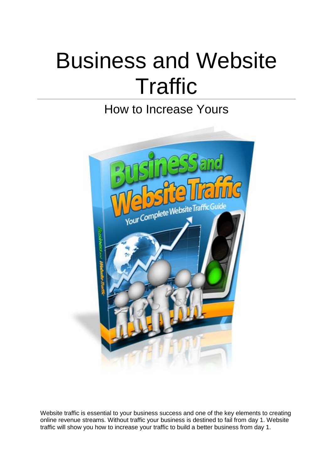# Business and Website **Traffic**

## How to Increase Yours



Website traffic is essential to your business success and one of the key elements to creating online revenue streams. Without traffic your business is destined to fail from day 1. Website traffic will show you how to increase your traffic to build a better business from day 1.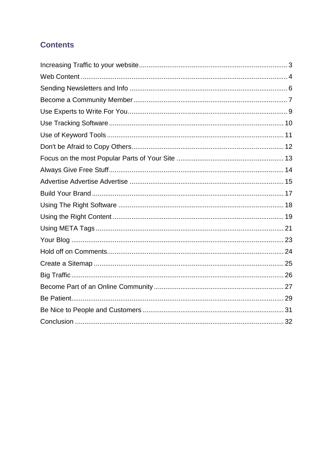## **Contents**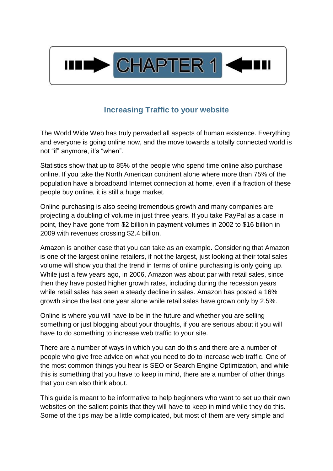

## **Increasing Traffic to your website**

<span id="page-2-0"></span>The World Wide Web has truly pervaded all aspects of human existence. Everything and everyone is going online now, and the move towards a totally connected world is not "if" anymore, it's "when".

Statistics show that up to 85% of the people who spend time online also purchase online. If you take the North American continent alone where more than 75% of the population have a broadband Internet connection at home, even if a fraction of these people buy online, it is still a huge market.

Online purchasing is also seeing tremendous growth and many companies are projecting a doubling of volume in just three years. If you take PayPal as a case in point, they have gone from \$2 billion in payment volumes in 2002 to \$16 billion in 2009 with revenues crossing \$2.4 billion.

Amazon is another case that you can take as an example. Considering that Amazon is one of the largest online retailers, if not the largest, just looking at their total sales volume will show you that the trend in terms of online purchasing is only going up. While just a few years ago, in 2006, Amazon was about par with retail sales, since then they have posted higher growth rates, including during the recession years while retail sales has seen a steady decline in sales. Amazon has posted a 16% growth since the last one year alone while retail sales have grown only by 2.5%.

Online is where you will have to be in the future and whether you are selling something or just blogging about your thoughts, if you are serious about it you will have to do something to increase web traffic to your site.

There are a number of ways in which you can do this and there are a number of people who give free advice on what you need to do to increase web traffic. One of the most common things you hear is SEO or Search Engine Optimization, and while this is something that you have to keep in mind, there are a number of other things that you can also think about.

This guide is meant to be informative to help beginners who want to set up their own websites on the salient points that they will have to keep in mind while they do this. Some of the tips may be a little complicated, but most of them are very simple and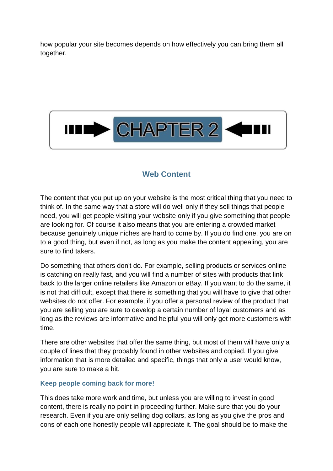how popular your site becomes depends on how effectively you can bring them all together.



## **Web Content**

<span id="page-3-0"></span>The content that you put up on your website is the most critical thing that you need to think of. In the same way that a store will do well only if they sell things that people need, you will get people visiting your website only if you give something that people are looking for. Of course it also means that you are entering a crowded market because genuinely unique niches are hard to come by. If you do find one, you are on to a good thing, but even if not, as long as you make the content appealing, you are sure to find takers.

Do something that others don't do. For example, selling products or services online is catching on really fast, and you will find a number of sites with products that link back to the larger online retailers like Amazon or eBay. If you want to do the same, it is not that difficult, except that there is something that you will have to give that other websites do not offer. For example, if you offer a personal review of the product that you are selling you are sure to develop a certain number of loyal customers and as long as the reviews are informative and helpful you will only get more customers with time.

There are other websites that offer the same thing, but most of them will have only a couple of lines that they probably found in other websites and copied. If you give information that is more detailed and specific, things that only a user would know, you are sure to make a hit.

#### **Keep people coming back for more!**

This does take more work and time, but unless you are willing to invest in good content, there is really no point in proceeding further. Make sure that you do your research. Even if you are only selling dog collars, as long as you give the pros and cons of each one honestly people will appreciate it. The goal should be to make the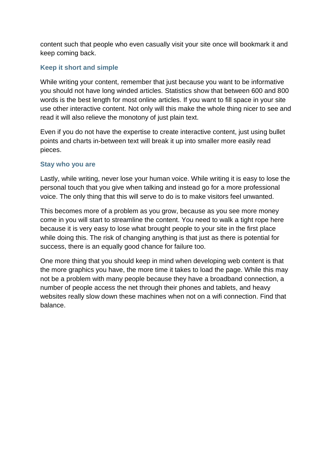content such that people who even casually visit your site once will bookmark it and keep coming back.

#### **Keep it short and simple**

While writing your content, remember that just because you want to be informative you should not have long winded articles. Statistics show that between 600 and 800 words is the best length for most online articles. If you want to fill space in your site use other interactive content. Not only will this make the whole thing nicer to see and read it will also relieve the monotony of just plain text.

Even if you do not have the expertise to create interactive content, just using bullet points and charts in-between text will break it up into smaller more easily read pieces.

#### **Stay who you are**

Lastly, while writing, never lose your human voice. While writing it is easy to lose the personal touch that you give when talking and instead go for a more professional voice. The only thing that this will serve to do is to make visitors feel unwanted.

This becomes more of a problem as you grow, because as you see more money come in you will start to streamline the content. You need to walk a tight rope here because it is very easy to lose what brought people to your site in the first place while doing this. The risk of changing anything is that just as there is potential for success, there is an equally good chance for failure too.

One more thing that you should keep in mind when developing web content is that the more graphics you have, the more time it takes to load the page. While this may not be a problem with many people because they have a broadband connection, a number of people access the net through their phones and tablets, and heavy websites really slow down these machines when not on a wifi connection. Find that balance.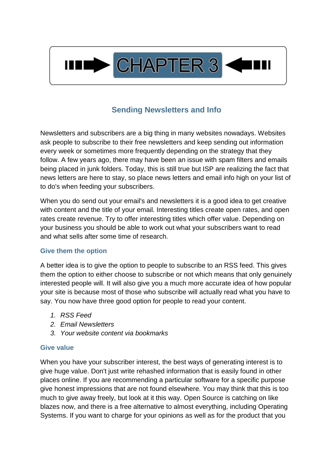

## **Sending Newsletters and Info**

<span id="page-5-0"></span>Newsletters and subscribers are a big thing in many websites nowadays. Websites ask people to subscribe to their free newsletters and keep sending out information every week or sometimes more frequently depending on the strategy that they follow. A few years ago, there may have been an issue with spam filters and emails being placed in junk folders. Today, this is still true but ISP are realizing the fact that news letters are here to stay, so place news letters and email info high on your list of to do's when feeding your subscribers.

When you do send out your email's and newsletters it is a good idea to get creative with content and the title of your email. Interesting titles create open rates, and open rates create revenue. Try to offer interesting titles which offer value. Depending on your business you should be able to work out what your subscribers want to read and what sells after some time of research.

#### **Give them the option**

A better idea is to give the option to people to subscribe to an RSS feed. This gives them the option to either choose to subscribe or not which means that only genuinely interested people will. It will also give you a much more accurate idea of how popular your site is because most of those who subscribe will actually read what you have to say. You now have three good option for people to read your content.

- *1. RSS Feed*
- *2. Email Newsletters*
- *3. Your website content via bookmarks*

#### **Give value**

When you have your subscriber interest, the best ways of generating interest is to give huge value. Don't just write rehashed information that is easily found in other places online. If you are recommending a particular software for a specific purpose give honest impressions that are not found elsewhere. You may think that this is too much to give away freely, but look at it this way. Open Source is catching on like blazes now, and there is a free alternative to almost everything, including Operating Systems. If you want to charge for your opinions as well as for the product that you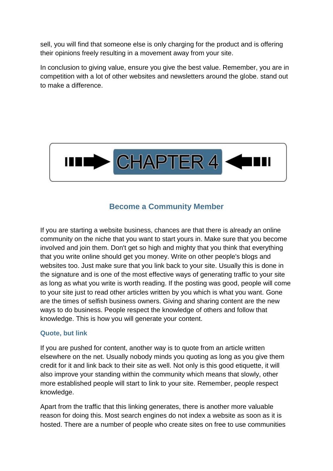sell, you will find that someone else is only charging for the product and is offering their opinions freely resulting in a movement away from your site.

In conclusion to giving value, ensure you give the best value. Remember, you are in competition with a lot of other websites and newsletters around the globe. stand out to make a difference.



## **Become a Community Member**

<span id="page-6-0"></span>If you are starting a website business, chances are that there is already an online community on the niche that you want to start yours in. Make sure that you become involved and join them. Don't get so high and mighty that you think that everything that you write online should get you money. Write on other people's blogs and websites too. Just make sure that you link back to your site. Usually this is done in the signature and is one of the most effective ways of generating traffic to your site as long as what you write is worth reading. If the posting was good, people will come to your site just to read other articles written by you which is what you want. Gone are the times of selfish business owners. Giving and sharing content are the new ways to do business. People respect the knowledge of others and follow that knowledge. This is how you will generate your content.

#### **Quote, but link**

If you are pushed for content, another way is to quote from an article written elsewhere on the net. Usually nobody minds you quoting as long as you give them credit for it and link back to their site as well. Not only is this good etiquette, it will also improve your standing within the community which means that slowly, other more established people will start to link to your site. Remember, people respect knowledge.

Apart from the traffic that this linking generates, there is another more valuable reason for doing this. Most search engines do not index a website as soon as it is hosted. There are a number of people who create sites on free to use communities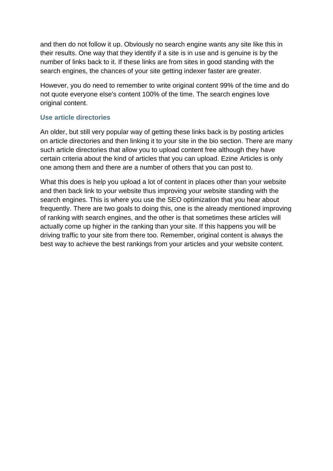and then do not follow it up. Obviously no search engine wants any site like this in their results. One way that they identify if a site is in use and is genuine is by the number of links back to it. If these links are from sites in good standing with the search engines, the chances of your site getting indexer faster are greater.

However, you do need to remember to write original content 99% of the time and do not quote everyone else's content 100% of the time. The search engines love original content.

#### **Use article directories**

An older, but still very popular way of getting these links back is by posting articles on article directories and then linking it to your site in the bio section. There are many such article directories that allow you to upload content free although they have certain criteria about the kind of articles that you can upload. Ezine Articles is only one among them and there are a number of others that you can post to.

What this does is help you upload a lot of content in places other than your website and then back link to your website thus improving your website standing with the search engines. This is where you use the SEO optimization that you hear about frequently. There are two goals to doing this, one is the already mentioned improving of ranking with search engines, and the other is that sometimes these articles will actually come up higher in the ranking than your site. If this happens you will be driving traffic to your site from there too. Remember, original content is always the best way to achieve the best rankings from your articles and your website content.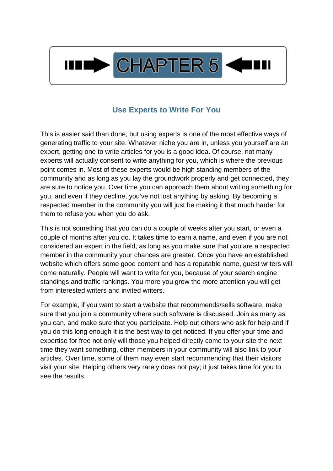

## **Use Experts to Write For You**

<span id="page-8-0"></span>This is easier said than done, but using experts is one of the most effective ways of generating traffic to your site. Whatever niche you are in, unless you yourself are an expert, getting one to write articles for you is a good idea. Of course, not many experts will actually consent to write anything for you, which is where the previous point comes in. Most of these experts would be high standing members of the community and as long as you lay the groundwork properly and get connected, they are sure to notice you. Over time you can approach them about writing something for you, and even if they decline, you've not lost anything by asking. By becoming a respected member in the community you will just be making it that much harder for them to refuse you when you do ask.

This is not something that you can do a couple of weeks after you start, or even a couple of months after you do. It takes time to earn a name, and even if you are not considered an expert in the field, as long as you make sure that you are a respected member in the community your chances are greater. Once you have an established website which offers some good content and has a reputable name, guest writers will come naturally. People will want to write for you, because of your search engine standings and traffic rankings. You more you grow the more attention you will get from interested writers and invited writers.

For example, if you want to start a website that recommends/sells software, make sure that you join a community where such software is discussed. Join as many as you can, and make sure that you participate. Help out others who ask for help and if you do this long enough it is the best way to get noticed. If you offer your time and expertise for free not only will those you helped directly come to your site the next time they want something, other members in your community will also link to your articles. Over time, some of them may even start recommending that their visitors visit your site. Helping others very rarely does not pay; it just takes time for you to see the results.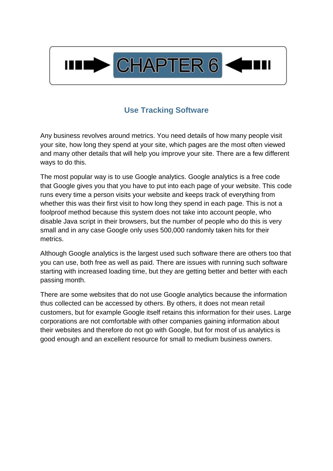

## **Use Tracking Software**

<span id="page-9-0"></span>Any business revolves around metrics. You need details of how many people visit your site, how long they spend at your site, which pages are the most often viewed and many other details that will help you improve your site. There are a few different ways to do this.

The most popular way is to use Google analytics. Google analytics is a free code that Google gives you that you have to put into each page of your website. This code runs every time a person visits your website and keeps track of everything from whether this was their first visit to how long they spend in each page. This is not a foolproof method because this system does not take into account people, who disable Java script in their browsers, but the number of people who do this is very small and in any case Google only uses 500,000 randomly taken hits for their metrics.

Although Google analytics is the largest used such software there are others too that you can use, both free as well as paid. There are issues with running such software starting with increased loading time, but they are getting better and better with each passing month.

There are some websites that do not use Google analytics because the information thus collected can be accessed by others. By others, it does not mean retail customers, but for example Google itself retains this information for their uses. Large corporations are not comfortable with other companies gaining information about their websites and therefore do not go with Google, but for most of us analytics is good enough and an excellent resource for small to medium business owners.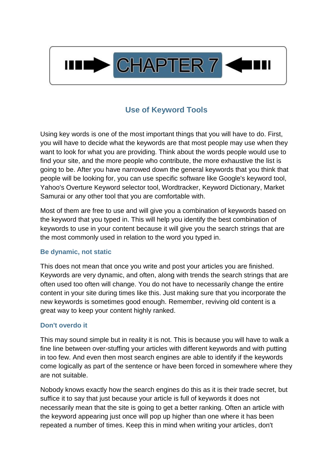

## **Use of Keyword Tools**

<span id="page-10-0"></span>Using key words is one of the most important things that you will have to do. First, you will have to decide what the keywords are that most people may use when they want to look for what you are providing. Think about the words people would use to find your site, and the more people who contribute, the more exhaustive the list is going to be. After you have narrowed down the general keywords that you think that people will be looking for, you can use specific software like Google's keyword tool, Yahoo's Overture Keyword selector tool, Wordtracker, Keyword Dictionary, Market Samurai or any other tool that you are comfortable with.

Most of them are free to use and will give you a combination of keywords based on the keyword that you typed in. This will help you identify the best combination of keywords to use in your content because it will give you the search strings that are the most commonly used in relation to the word you typed in.

#### **Be dynamic, not static**

This does not mean that once you write and post your articles you are finished. Keywords are very dynamic, and often, along with trends the search strings that are often used too often will change. You do not have to necessarily change the entire content in your site during times like this. Just making sure that you incorporate the new keywords is sometimes good enough. Remember, reviving old content is a great way to keep your content highly ranked.

#### **Don't overdo it**

This may sound simple but in reality it is not. This is because you will have to walk a fine line between over-stuffing your articles with different keywords and with putting in too few. And even then most search engines are able to identify if the keywords come logically as part of the sentence or have been forced in somewhere where they are not suitable.

Nobody knows exactly how the search engines do this as it is their trade secret, but suffice it to say that just because your article is full of keywords it does not necessarily mean that the site is going to get a better ranking. Often an article with the keyword appearing just once will pop up higher than one where it has been repeated a number of times. Keep this in mind when writing your articles, don't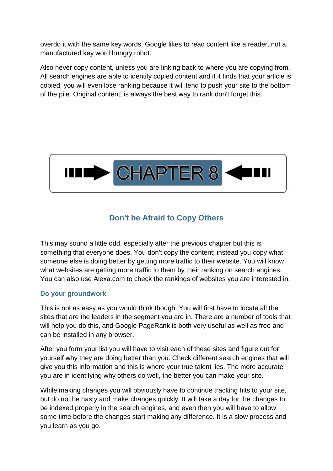overdo it with the same key words. Google likes to read content like a reader, not a manufactured key word hungry robot.

Also never copy content, unless you are linking back to where you are copying from. All search engines are able to identify copied content and if it finds that your article is copied, you will even lose ranking because it will tend to push your site to the bottom of the pile. Original content, is always the best way to rank don't forget this.



## **Don't be Afraid to Copy Others**

<span id="page-11-0"></span>This may sound a little odd, especially after the previous chapter but this is something that everyone does. You don't copy the content; instead you copy what someone else is doing better by getting more traffic to their website. You will know what websites are getting more traffic to them by their ranking on search engines. You can also use Alexa.com to check the rankings of websites you are interested in.

#### **Do your groundwork**

This is not as easy as you would think though. You will first have to locate all the sites that are the leaders in the segment you are in. There are a number of tools that will help you do this, and Google PageRank is both very useful as well as free and can be installed in any browser.

After you form your list you will have to visit each of these sites and figure out for yourself why they are doing better than you. Check different search engines that will give you this information and this is where your true talent lies. The more accurate you are in identifying why others do well, the better you can make your site.

While making changes you will obviously have to continue tracking hits to your site, but do not be hasty and make changes quickly. It will take a day for the changes to be indexed properly in the search engines, and even then you will have to allow some time before the changes start making any difference. It is a slow process and you learn as you go.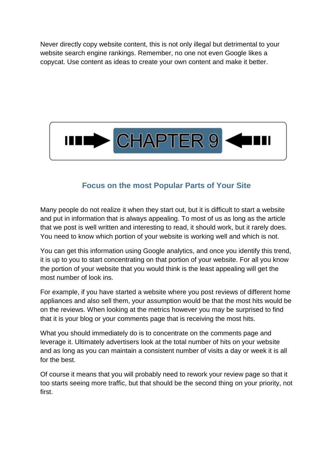Never directly copy website content, this is not only illegal but detrimental to your website search engine rankings. Remember, no one not even Google likes a copycat. Use content as ideas to create your own content and make it better.



## **Focus on the most Popular Parts of Your Site**

<span id="page-12-0"></span>Many people do not realize it when they start out, but it is difficult to start a website and put in information that is always appealing. To most of us as long as the article that we post is well written and interesting to read, it should work, but it rarely does. You need to know which portion of your website is working well and which is not.

You can get this information using Google analytics, and once you identify this trend, it is up to you to start concentrating on that portion of your website. For all you know the portion of your website that you would think is the least appealing will get the most number of look ins.

For example, if you have started a website where you post reviews of different home appliances and also sell them, your assumption would be that the most hits would be on the reviews. When looking at the metrics however you may be surprised to find that it is your blog or your comments page that is receiving the most hits.

What you should immediately do is to concentrate on the comments page and leverage it. Ultimately advertisers look at the total number of hits on your website and as long as you can maintain a consistent number of visits a day or week it is all for the best.

Of course it means that you will probably need to rework your review page so that it too starts seeing more traffic, but that should be the second thing on your priority, not first.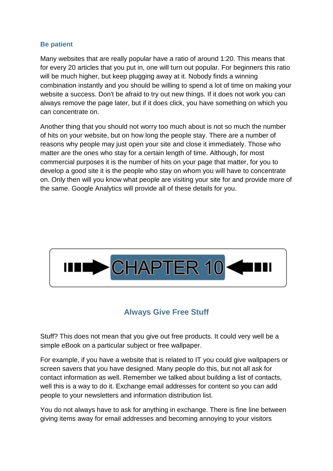#### **Be patient**

Many websites that are really popular have a ratio of around 1:20. This means that for every 20 articles that you put in, one will turn out popular. For beginners this ratio will be much higher, but keep plugging away at it. Nobody finds a winning combination instantly and you should be willing to spend a lot of time on making your website a success. Don't be afraid to try out new things. If it does not work you can always remove the page later, but if it does click, you have something on which you can concentrate on.

Another thing that you should not worry too much about is not so much the number of hits on your website, but on how long the people stay. There are a number of reasons why people may just open your site and close it immediately. Those who matter are the ones who stay for a certain length of time. Although, for most commercial purposes it is the number of hits on your page that matter, for you to develop a good site it is the people who stay on whom you will have to concentrate on. Only then will you know what people are visiting your site for and provide more of the same. Google Analytics will provide all of these details for you.



## **Always Give Free Stuff**

<span id="page-13-0"></span>Stuff? This does not mean that you give out free products. It could very well be a simple eBook on a particular subject or free wallpaper.

For example, if you have a website that is related to IT you could give wallpapers or screen savers that you have designed. Many people do this, but not all ask for contact information as well. Remember we talked about building a list of contacts, well this is a way to do it. Exchange email addresses for content so you can add people to your newsletters and information distribution list.

You do not always have to ask for anything in exchange. There is fine line between giving items away for email addresses and becoming annoying to your visitors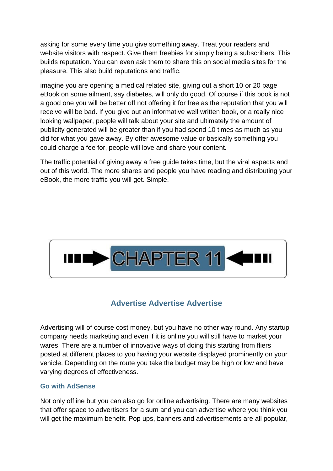asking for some every time you give something away. Treat your readers and website visitors with respect. Give them freebies for simply being a subscribers. This builds reputation. You can even ask them to share this on social media sites for the pleasure. This also build reputations and traffic.

imagine you are opening a medical related site, giving out a short 10 or 20 page eBook on some ailment, say diabetes, will only do good. Of course if this book is not a good one you will be better off not offering it for free as the reputation that you will receive will be bad. If you give out an informative well written book, or a really nice looking wallpaper, people will talk about your site and ultimately the amount of publicity generated will be greater than if you had spend 10 times as much as you did for what you gave away. By offer awesome value or basically something you could charge a fee for, people will love and share your content.

The traffic potential of giving away a free guide takes time, but the viral aspects and out of this world. The more shares and people you have reading and distributing your eBook, the more traffic you will get. Simple.



## **Advertise Advertise Advertise**

<span id="page-14-0"></span>Advertising will of course cost money, but you have no other way round. Any startup company needs marketing and even if it is online you will still have to market your wares. There are a number of innovative ways of doing this starting from fliers posted at different places to you having your website displayed prominently on your vehicle. Depending on the route you take the budget may be high or low and have varying degrees of effectiveness.

#### **Go with AdSense**

Not only offline but you can also go for online advertising. There are many websites that offer space to advertisers for a sum and you can advertise where you think you will get the maximum benefit. Pop ups, banners and advertisements are all popular,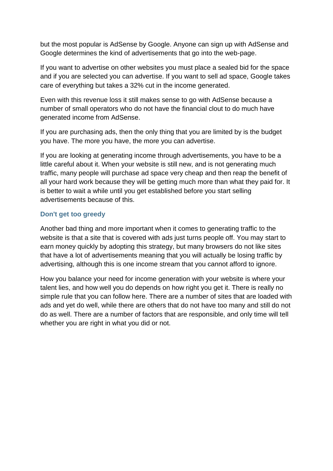but the most popular is AdSense by Google. Anyone can sign up with AdSense and Google determines the kind of advertisements that go into the web-page.

If you want to advertise on other websites you must place a sealed bid for the space and if you are selected you can advertise. If you want to sell ad space, Google takes care of everything but takes a 32% cut in the income generated.

Even with this revenue loss it still makes sense to go with AdSense because a number of small operators who do not have the financial clout to do much have generated income from AdSense.

If you are purchasing ads, then the only thing that you are limited by is the budget you have. The more you have, the more you can advertise.

If you are looking at generating income through advertisements, you have to be a little careful about it. When your website is still new, and is not generating much traffic, many people will purchase ad space very cheap and then reap the benefit of all your hard work because they will be getting much more than what they paid for. It is better to wait a while until you get established before you start selling advertisements because of this.

#### **Don't get too greedy**

Another bad thing and more important when it comes to generating traffic to the website is that a site that is covered with ads just turns people off. You may start to earn money quickly by adopting this strategy, but many browsers do not like sites that have a lot of advertisements meaning that you will actually be losing traffic by advertising, although this is one income stream that you cannot afford to ignore.

How you balance your need for income generation with your website is where your talent lies, and how well you do depends on how right you get it. There is really no simple rule that you can follow here. There are a number of sites that are loaded with ads and yet do well, while there are others that do not have too many and still do not do as well. There are a number of factors that are responsible, and only time will tell whether you are right in what you did or not.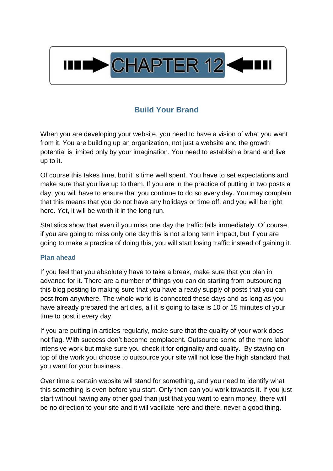

## **Build Your Brand**

<span id="page-16-0"></span>When you are developing your website, you need to have a vision of what you want from it. You are building up an organization, not just a website and the growth potential is limited only by your imagination. You need to establish a brand and live up to it.

Of course this takes time, but it is time well spent. You have to set expectations and make sure that you live up to them. If you are in the practice of putting in two posts a day, you will have to ensure that you continue to do so every day. You may complain that this means that you do not have any holidays or time off, and you will be right here. Yet, it will be worth it in the long run.

Statistics show that even if you miss one day the traffic falls immediately. Of course, if you are going to miss only one day this is not a long term impact, but if you are going to make a practice of doing this, you will start losing traffic instead of gaining it.

#### **Plan ahead**

If you feel that you absolutely have to take a break, make sure that you plan in advance for it. There are a number of things you can do starting from outsourcing this blog posting to making sure that you have a ready supply of posts that you can post from anywhere. The whole world is connected these days and as long as you have already prepared the articles, all it is going to take is 10 or 15 minutes of your time to post it every day.

If you are putting in articles regularly, make sure that the quality of your work does not flag. With success don't become complacent. Outsource some of the more labor intensive work but make sure you check it for originality and quality. By staying on top of the work you choose to outsource your site will not lose the high standard that you want for your business.

Over time a certain website will stand for something, and you need to identify what this something is even before you start. Only then can you work towards it. If you just start without having any other goal than just that you want to earn money, there will be no direction to your site and it will vacillate here and there, never a good thing.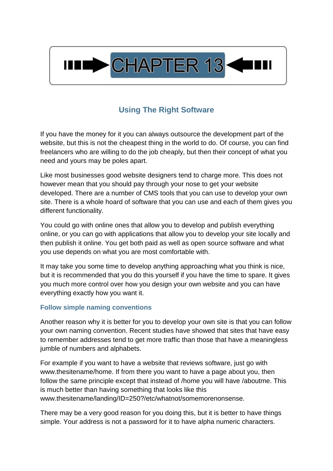

## **Using The Right Software**

<span id="page-17-0"></span>If you have the money for it you can always outsource the development part of the website, but this is not the cheapest thing in the world to do. Of course, you can find freelancers who are willing to do the job cheaply, but then their concept of what you need and yours may be poles apart.

Like most businesses good website designers tend to charge more. This does not however mean that you should pay through your nose to get your website developed. There are a number of CMS tools that you can use to develop your own site. There is a whole hoard of software that you can use and each of them gives you different functionality.

You could go with online ones that allow you to develop and publish everything online, or you can go with applications that allow you to develop your site locally and then publish it online. You get both paid as well as open source software and what you use depends on what you are most comfortable with.

It may take you some time to develop anything approaching what you think is nice, but it is recommended that you do this yourself if you have the time to spare. It gives you much more control over how you design your own website and you can have everything exactly how you want it.

#### **Follow simple naming conventions**

Another reason why it is better for you to develop your own site is that you can follow your own naming convention. Recent studies have showed that sites that have easy to remember addresses tend to get more traffic than those that have a meaningless jumble of numbers and alphabets.

For example if you want to have a website that reviews software, just go with www.thesitename/home. If from there you want to have a page about you, then follow the same principle except that instead of /home you will have /aboutme. This is much better than having something that looks like this www.thesitename/landing/ID=250?/etc/whatnot/somemorenonsense.

There may be a very good reason for you doing this, but it is better to have things simple. Your address is not a password for it to have alpha numeric characters.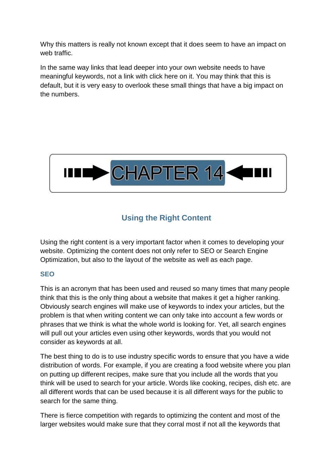Why this matters is really not known except that it does seem to have an impact on web traffic.

In the same way links that lead deeper into your own website needs to have meaningful keywords, not a link with click here on it. You may think that this is default, but it is very easy to overlook these small things that have a big impact on the numbers.



## **Using the Right Content**

<span id="page-18-0"></span>Using the right content is a very important factor when it comes to developing your website. Optimizing the content does not only refer to SEO or Search Engine Optimization, but also to the layout of the website as well as each page.

#### **SEO**

This is an acronym that has been used and reused so many times that many people think that this is the only thing about a website that makes it get a higher ranking. Obviously search engines will make use of keywords to index your articles, but the problem is that when writing content we can only take into account a few words or phrases that we think is what the whole world is looking for. Yet, all search engines will pull out your articles even using other keywords, words that you would not consider as keywords at all.

The best thing to do is to use industry specific words to ensure that you have a wide distribution of words. For example, if you are creating a food website where you plan on putting up different recipes, make sure that you include all the words that you think will be used to search for your article. Words like cooking, recipes, dish etc. are all different words that can be used because it is all different ways for the public to search for the same thing.

There is fierce competition with regards to optimizing the content and most of the larger websites would make sure that they corral most if not all the keywords that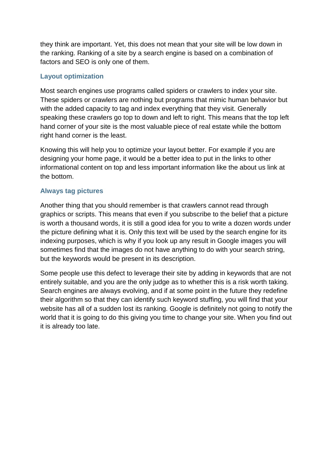they think are important. Yet, this does not mean that your site will be low down in the ranking. Ranking of a site by a search engine is based on a combination of factors and SEO is only one of them.

#### **Layout optimization**

Most search engines use programs called spiders or crawlers to index your site. These spiders or crawlers are nothing but programs that mimic human behavior but with the added capacity to tag and index everything that they visit. Generally speaking these crawlers go top to down and left to right. This means that the top left hand corner of your site is the most valuable piece of real estate while the bottom right hand corner is the least.

Knowing this will help you to optimize your layout better. For example if you are designing your home page, it would be a better idea to put in the links to other informational content on top and less important information like the about us link at the bottom.

#### **Always tag pictures**

Another thing that you should remember is that crawlers cannot read through graphics or scripts. This means that even if you subscribe to the belief that a picture is worth a thousand words, it is still a good idea for you to write a dozen words under the picture defining what it is. Only this text will be used by the search engine for its indexing purposes, which is why if you look up any result in Google images you will sometimes find that the images do not have anything to do with your search string, but the keywords would be present in its description.

Some people use this defect to leverage their site by adding in keywords that are not entirely suitable, and you are the only judge as to whether this is a risk worth taking. Search engines are always evolving, and if at some point in the future they redefine their algorithm so that they can identify such keyword stuffing, you will find that your website has all of a sudden lost its ranking. Google is definitely not going to notify the world that it is going to do this giving you time to change your site. When you find out it is already too late.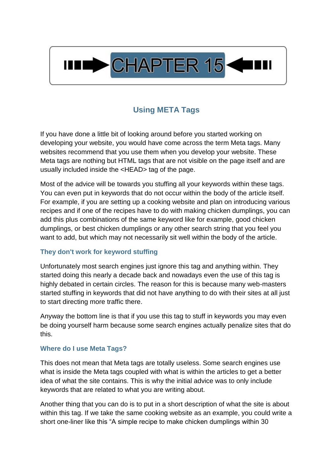

## **Using META Tags**

<span id="page-20-0"></span>If you have done a little bit of looking around before you started working on developing your website, you would have come across the term Meta tags. Many websites recommend that you use them when you develop your website. These Meta tags are nothing but HTML tags that are not visible on the page itself and are usually included inside the <HEAD> tag of the page.

Most of the advice will be towards you stuffing all your keywords within these tags. You can even put in keywords that do not occur within the body of the article itself. For example, if you are setting up a cooking website and plan on introducing various recipes and if one of the recipes have to do with making chicken dumplings, you can add this plus combinations of the same keyword like for example, good chicken dumplings, or best chicken dumplings or any other search string that you feel you want to add, but which may not necessarily sit well within the body of the article.

#### **They don't work for keyword stuffing**

Unfortunately most search engines just ignore this tag and anything within. They started doing this nearly a decade back and nowadays even the use of this tag is highly debated in certain circles. The reason for this is because many web-masters started stuffing in keywords that did not have anything to do with their sites at all just to start directing more traffic there.

Anyway the bottom line is that if you use this tag to stuff in keywords you may even be doing yourself harm because some search engines actually penalize sites that do this.

#### **Where do I use Meta Tags?**

This does not mean that Meta tags are totally useless. Some search engines use what is inside the Meta tags coupled with what is within the articles to get a better idea of what the site contains. This is why the initial advice was to only include keywords that are related to what you are writing about.

Another thing that you can do is to put in a short description of what the site is about within this tag. If we take the same cooking website as an example, you could write a short one-liner like this "A simple recipe to make chicken dumplings within 30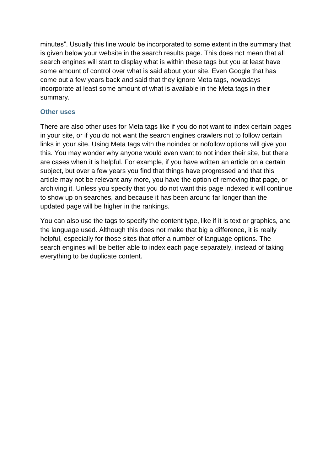minutes". Usually this line would be incorporated to some extent in the summary that is given below your website in the search results page. This does not mean that all search engines will start to display what is within these tags but you at least have some amount of control over what is said about your site. Even Google that has come out a few years back and said that they ignore Meta tags, nowadays incorporate at least some amount of what is available in the Meta tags in their summary.

#### **Other uses**

There are also other uses for Meta tags like if you do not want to index certain pages in your site, or if you do not want the search engines crawlers not to follow certain links in your site. Using Meta tags with the noindex or nofollow options will give you this. You may wonder why anyone would even want to not index their site, but there are cases when it is helpful. For example, if you have written an article on a certain subject, but over a few years you find that things have progressed and that this article may not be relevant any more, you have the option of removing that page, or archiving it. Unless you specify that you do not want this page indexed it will continue to show up on searches, and because it has been around far longer than the updated page will be higher in the rankings.

You can also use the tags to specify the content type, like if it is text or graphics, and the language used. Although this does not make that big a difference, it is really helpful, especially for those sites that offer a number of language options. The search engines will be better able to index each page separately, instead of taking everything to be duplicate content.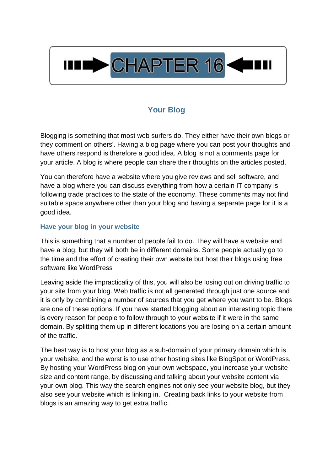

## **Your Blog**

<span id="page-22-0"></span>Blogging is something that most web surfers do. They either have their own blogs or they comment on others'. Having a blog page where you can post your thoughts and have others respond is therefore a good idea. A blog is not a comments page for your article. A blog is where people can share their thoughts on the articles posted.

You can therefore have a website where you give reviews and sell software, and have a blog where you can discuss everything from how a certain IT company is following trade practices to the state of the economy. These comments may not find suitable space anywhere other than your blog and having a separate page for it is a good idea.

#### **Have your blog in your website**

This is something that a number of people fail to do. They will have a website and have a blog, but they will both be in different domains. Some people actually go to the time and the effort of creating their own website but host their blogs using free software like WordPress

Leaving aside the impracticality of this, you will also be losing out on driving traffic to your site from your blog. Web traffic is not all generated through just one source and it is only by combining a number of sources that you get where you want to be. Blogs are one of these options. If you have started blogging about an interesting topic there is every reason for people to follow through to your website if it were in the same domain. By splitting them up in different locations you are losing on a certain amount of the traffic.

The best way is to host your blog as a sub-domain of your primary domain which is your website, and the worst is to use other hosting sites like BlogSpot or WordPress. By hosting your WordPress blog on your own webspace, you increase your website size and content range, by discussing and talking about your website content via your own blog. This way the search engines not only see your website blog, but they also see your website which is linking in. Creating back links to your website from blogs is an amazing way to get extra traffic.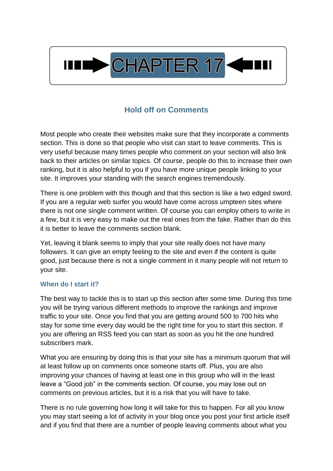

## **Hold off on Comments**

<span id="page-23-0"></span>Most people who create their websites make sure that they incorporate a comments section. This is done so that people who visit can start to leave comments. This is very useful because many times people who comment on your section will also link back to their articles on similar topics. Of course, people do this to increase their own ranking, but it is also helpful to you if you have more unique people linking to your site. It improves your standing with the search engines tremendously.

There is one problem with this though and that this section is like a two edged sword. If you are a regular web surfer you would have come across umpteen sites where there is not one single comment written. Of course you can employ others to write in a few, but it is very easy to make out the real ones from the fake. Rather than do this it is better to leave the comments section blank.

Yet, leaving it blank seems to imply that your site really does not have many followers. It can give an empty feeling to the site and even if the content is quite good, just because there is not a single comment in it many people will not return to your site.

#### **When do I start it?**

The best way to tackle this is to start up this section after some time. During this time you will be trying various different methods to improve the rankings and improve traffic to your site. Once you find that you are getting around 500 to 700 hits who stay for some time every day would be the right time for you to start this section. If you are offering an RSS feed you can start as soon as you hit the one hundred subscribers mark.

What you are ensuring by doing this is that your site has a minimum quorum that will at least follow up on comments once someone starts off. Plus, you are also improving your chances of having at least one in this group who will in the least leave a "Good job" in the comments section. Of course, you may lose out on comments on previous articles, but it is a risk that you will have to take.

There is no rule governing how long it will take for this to happen. For all you know you may start seeing a lot of activity in your blog once you post your first article itself and if you find that there are a number of people leaving comments about what you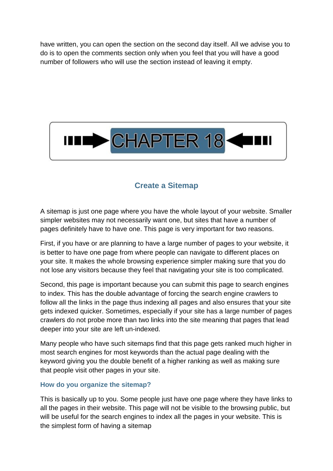have written, you can open the section on the second day itself. All we advise you to do is to open the comments section only when you feel that you will have a good number of followers who will use the section instead of leaving it empty.



## **Create a Sitemap**

<span id="page-24-0"></span>A sitemap is just one page where you have the whole layout of your website. Smaller simpler websites may not necessarily want one, but sites that have a number of pages definitely have to have one. This page is very important for two reasons.

First, if you have or are planning to have a large number of pages to your website, it is better to have one page from where people can navigate to different places on your site. It makes the whole browsing experience simpler making sure that you do not lose any visitors because they feel that navigating your site is too complicated.

Second, this page is important because you can submit this page to search engines to index. This has the double advantage of forcing the search engine crawlers to follow all the links in the page thus indexing all pages and also ensures that your site gets indexed quicker. Sometimes, especially if your site has a large number of pages crawlers do not probe more than two links into the site meaning that pages that lead deeper into your site are left un-indexed.

Many people who have such sitemaps find that this page gets ranked much higher in most search engines for most keywords than the actual page dealing with the keyword giving you the double benefit of a higher ranking as well as making sure that people visit other pages in your site.

#### **How do you organize the sitemap?**

This is basically up to you. Some people just have one page where they have links to all the pages in their website. This page will not be visible to the browsing public, but will be useful for the search engines to index all the pages in your website. This is the simplest form of having a sitemap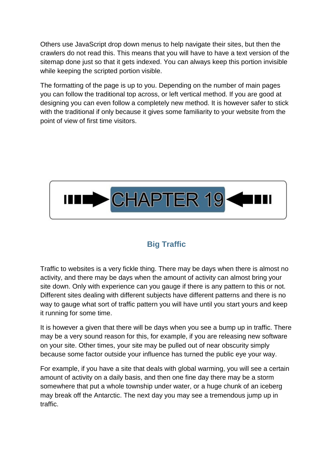Others use JavaScript drop down menus to help navigate their sites, but then the crawlers do not read this. This means that you will have to have a text version of the sitemap done just so that it gets indexed. You can always keep this portion invisible while keeping the scripted portion visible.

The formatting of the page is up to you. Depending on the number of main pages you can follow the traditional top across, or left vertical method. If you are good at designing you can even follow a completely new method. It is however safer to stick with the traditional if only because it gives some familiarity to your website from the point of view of first time visitors.



## **Big Traffic**

<span id="page-25-0"></span>Traffic to websites is a very fickle thing. There may be days when there is almost no activity, and there may be days when the amount of activity can almost bring your site down. Only with experience can you gauge if there is any pattern to this or not. Different sites dealing with different subjects have different patterns and there is no way to gauge what sort of traffic pattern you will have until you start yours and keep it running for some time.

It is however a given that there will be days when you see a bump up in traffic. There may be a very sound reason for this, for example, if you are releasing new software on your site. Other times, your site may be pulled out of near obscurity simply because some factor outside your influence has turned the public eye your way.

For example, if you have a site that deals with global warming, you will see a certain amount of activity on a daily basis, and then one fine day there may be a storm somewhere that put a whole township under water, or a huge chunk of an iceberg may break off the Antarctic. The next day you may see a tremendous jump up in traffic.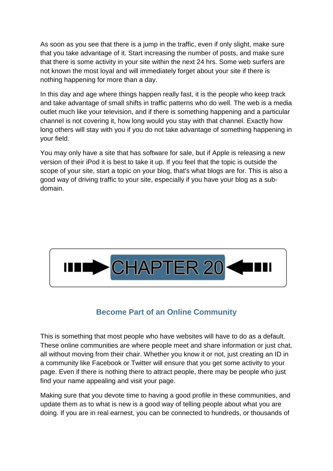As soon as you see that there is a jump in the traffic, even if only slight, make sure that you take advantage of it. Start increasing the number of posts, and make sure that there is some activity in your site within the next 24 hrs. Some web surfers are not known the most loyal and will immediately forget about your site if there is nothing happening for more than a day.

In this day and age where things happen really fast, it is the people who keep track and take advantage of small shifts in traffic patterns who do well. The web is a media outlet much like your television, and if there is something happening and a particular channel is not covering it, how long would you stay with that channel. Exactly how long others will stay with you if you do not take advantage of something happening in your field.

You may only have a site that has software for sale, but if Apple is releasing a new version of their iPod it is best to take it up. If you feel that the topic is outside the scope of your site, start a topic on your blog, that's what blogs are for. This is also a good way of driving traffic to your site, especially if you have your blog as a subdomain.



## **Become Part of an Online Community**

<span id="page-26-0"></span>This is something that most people who have websites will have to do as a default. These online communities are where people meet and share information or just chat, all without moving from their chair. Whether you know it or not, just creating an ID in a community like Facebook or Twitter will ensure that you get some activity to your page. Even if there is nothing there to attract people, there may be people who just find your name appealing and visit your page.

Making sure that you devote time to having a good profile in these communities, and update them as to what is new is a good way of telling people about what you are doing. If you are in real earnest, you can be connected to hundreds, or thousands of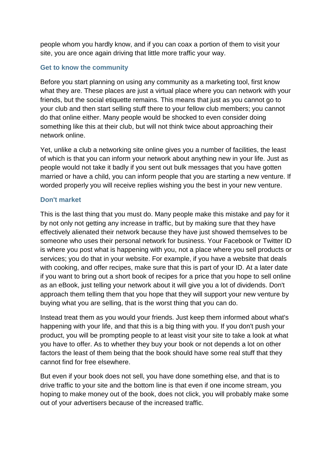people whom you hardly know, and if you can coax a portion of them to visit your site, you are once again driving that little more traffic your way.

#### **Get to know the community**

Before you start planning on using any community as a marketing tool, first know what they are. These places are just a virtual place where you can network with your friends, but the social etiquette remains. This means that just as you cannot go to your club and then start selling stuff there to your fellow club members; you cannot do that online either. Many people would be shocked to even consider doing something like this at their club, but will not think twice about approaching their network online.

Yet, unlike a club a networking site online gives you a number of facilities, the least of which is that you can inform your network about anything new in your life. Just as people would not take it badly if you sent out bulk messages that you have gotten married or have a child, you can inform people that you are starting a new venture. If worded properly you will receive replies wishing you the best in your new venture.

#### **Don't market**

This is the last thing that you must do. Many people make this mistake and pay for it by not only not getting any increase in traffic, but by making sure that they have effectively alienated their network because they have just showed themselves to be someone who uses their personal network for business. Your Facebook or Twitter ID is where you post what is happening with you, not a place where you sell products or services; you do that in your website. For example, if you have a website that deals with cooking, and offer recipes, make sure that this is part of your ID. At a later date if you want to bring out a short book of recipes for a price that you hope to sell online as an eBook, just telling your network about it will give you a lot of dividends. Don't approach them telling them that you hope that they will support your new venture by buying what you are selling, that is the worst thing that you can do.

Instead treat them as you would your friends. Just keep them informed about what's happening with your life, and that this is a big thing with you. If you don't push your product, you will be prompting people to at least visit your site to take a look at what you have to offer. As to whether they buy your book or not depends a lot on other factors the least of them being that the book should have some real stuff that they cannot find for free elsewhere.

But even if your book does not sell, you have done something else, and that is to drive traffic to your site and the bottom line is that even if one income stream, you hoping to make money out of the book, does not click, you will probably make some out of your advertisers because of the increased traffic.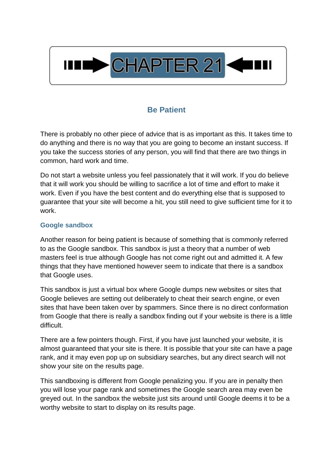

## **Be Patient**

<span id="page-28-0"></span>There is probably no other piece of advice that is as important as this. It takes time to do anything and there is no way that you are going to become an instant success. If you take the success stories of any person, you will find that there are two things in common, hard work and time.

Do not start a website unless you feel passionately that it will work. If you do believe that it will work you should be willing to sacrifice a lot of time and effort to make it work. Even if you have the best content and do everything else that is supposed to guarantee that your site will become a hit, you still need to give sufficient time for it to work.

#### **Google sandbox**

Another reason for being patient is because of something that is commonly referred to as the Google sandbox. This sandbox is just a theory that a number of web masters feel is true although Google has not come right out and admitted it. A few things that they have mentioned however seem to indicate that there is a sandbox that Google uses.

This sandbox is just a virtual box where Google dumps new websites or sites that Google believes are setting out deliberately to cheat their search engine, or even sites that have been taken over by spammers. Since there is no direct conformation from Google that there is really a sandbox finding out if your website is there is a little difficult.

There are a few pointers though. First, if you have just launched your website, it is almost guaranteed that your site is there. It is possible that your site can have a page rank, and it may even pop up on subsidiary searches, but any direct search will not show your site on the results page.

This sandboxing is different from Google penalizing you. If you are in penalty then you will lose your page rank and sometimes the Google search area may even be greyed out. In the sandbox the website just sits around until Google deems it to be a worthy website to start to display on its results page.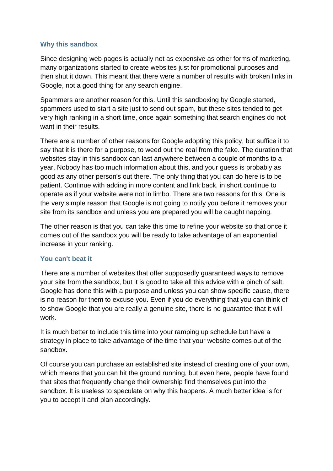#### **Why this sandbox**

Since designing web pages is actually not as expensive as other forms of marketing, many organizations started to create websites just for promotional purposes and then shut it down. This meant that there were a number of results with broken links in Google, not a good thing for any search engine.

Spammers are another reason for this. Until this sandboxing by Google started, spammers used to start a site just to send out spam, but these sites tended to get very high ranking in a short time, once again something that search engines do not want in their results.

There are a number of other reasons for Google adopting this policy, but suffice it to say that it is there for a purpose, to weed out the real from the fake. The duration that websites stay in this sandbox can last anywhere between a couple of months to a year. Nobody has too much information about this, and your guess is probably as good as any other person's out there. The only thing that you can do here is to be patient. Continue with adding in more content and link back, in short continue to operate as if your website were not in limbo. There are two reasons for this. One is the very simple reason that Google is not going to notify you before it removes your site from its sandbox and unless you are prepared you will be caught napping.

The other reason is that you can take this time to refine your website so that once it comes out of the sandbox you will be ready to take advantage of an exponential increase in your ranking.

#### **You can't beat it**

There are a number of websites that offer supposedly guaranteed ways to remove your site from the sandbox, but it is good to take all this advice with a pinch of salt. Google has done this with a purpose and unless you can show specific cause, there is no reason for them to excuse you. Even if you do everything that you can think of to show Google that you are really a genuine site, there is no guarantee that it will work.

It is much better to include this time into your ramping up schedule but have a strategy in place to take advantage of the time that your website comes out of the sandbox.

Of course you can purchase an established site instead of creating one of your own, which means that you can hit the ground running, but even here, people have found that sites that frequently change their ownership find themselves put into the sandbox. It is useless to speculate on why this happens. A much better idea is for you to accept it and plan accordingly.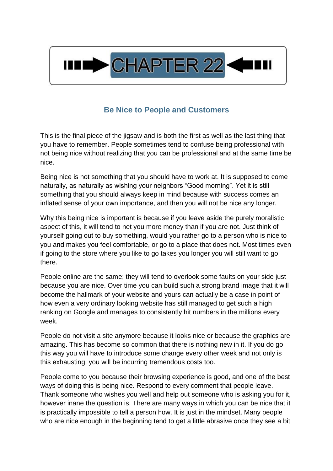

## **Be Nice to People and Customers**

<span id="page-30-0"></span>This is the final piece of the jigsaw and is both the first as well as the last thing that you have to remember. People sometimes tend to confuse being professional with not being nice without realizing that you can be professional and at the same time be nice.

Being nice is not something that you should have to work at. It is supposed to come naturally, as naturally as wishing your neighbors "Good morning". Yet it is still something that you should always keep in mind because with success comes an inflated sense of your own importance, and then you will not be nice any longer.

Why this being nice is important is because if you leave aside the purely moralistic aspect of this, it will tend to net you more money than if you are not. Just think of yourself going out to buy something, would you rather go to a person who is nice to you and makes you feel comfortable, or go to a place that does not. Most times even if going to the store where you like to go takes you longer you will still want to go there.

People online are the same; they will tend to overlook some faults on your side just because you are nice. Over time you can build such a strong brand image that it will become the hallmark of your website and yours can actually be a case in point of how even a very ordinary looking website has still managed to get such a high ranking on Google and manages to consistently hit numbers in the millions every week.

People do not visit a site anymore because it looks nice or because the graphics are amazing. This has become so common that there is nothing new in it. If you do go this way you will have to introduce some change every other week and not only is this exhausting, you will be incurring tremendous costs too.

People come to you because their browsing experience is good, and one of the best ways of doing this is being nice. Respond to every comment that people leave. Thank someone who wishes you well and help out someone who is asking you for it, however inane the question is. There are many ways in which you can be nice that it is practically impossible to tell a person how. It is just in the mindset. Many people who are nice enough in the beginning tend to get a little abrasive once they see a bit